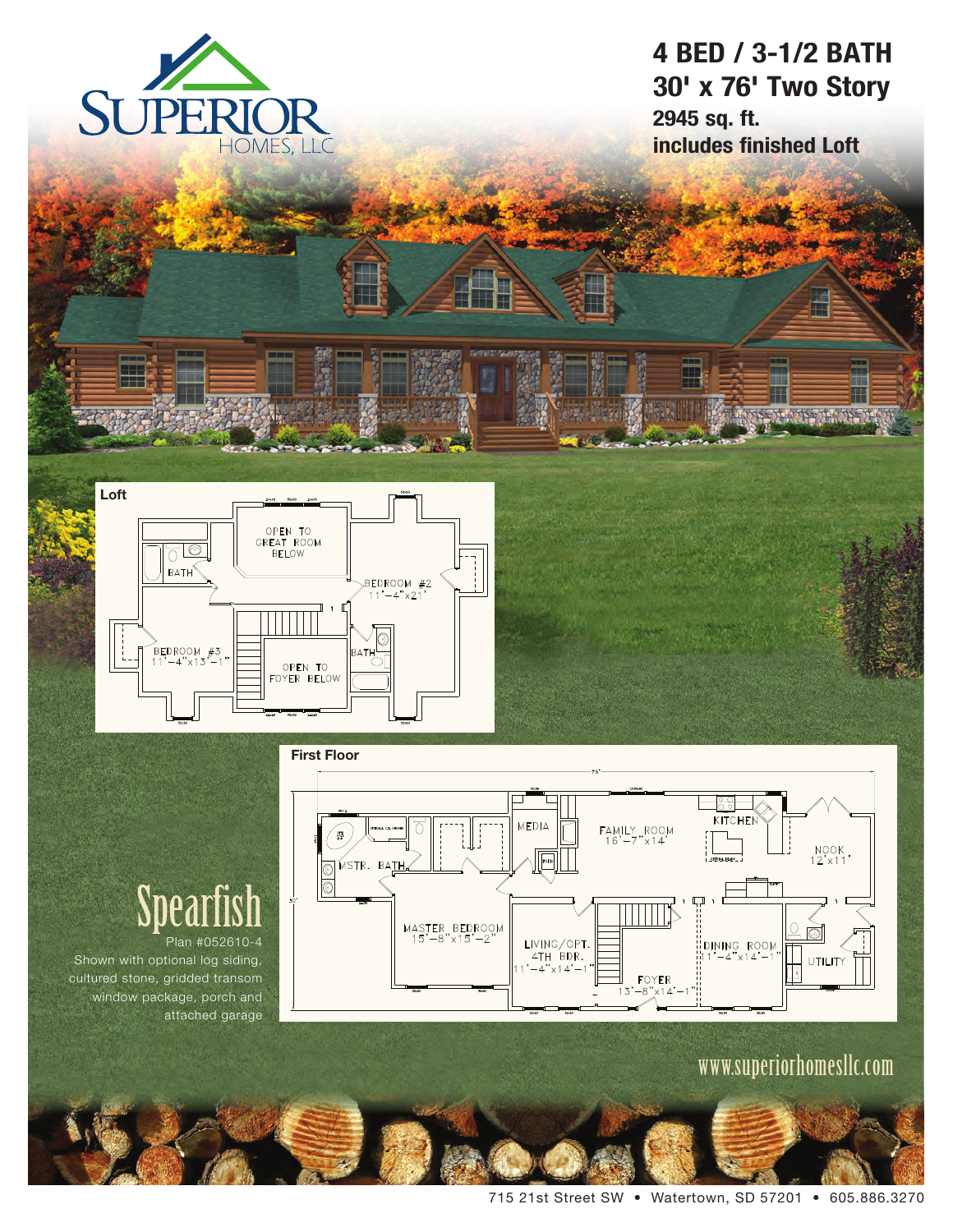

### **4 BED / 3-1/2 BATH 30' x 76' Two Story 2945 sq. ft. includes finished Loft**





## Spearfish Plan #052610-4

Shown with optional log siding, cultured stone, gridded transom window package, porch and attached garage

www.superiorhomesllc.com